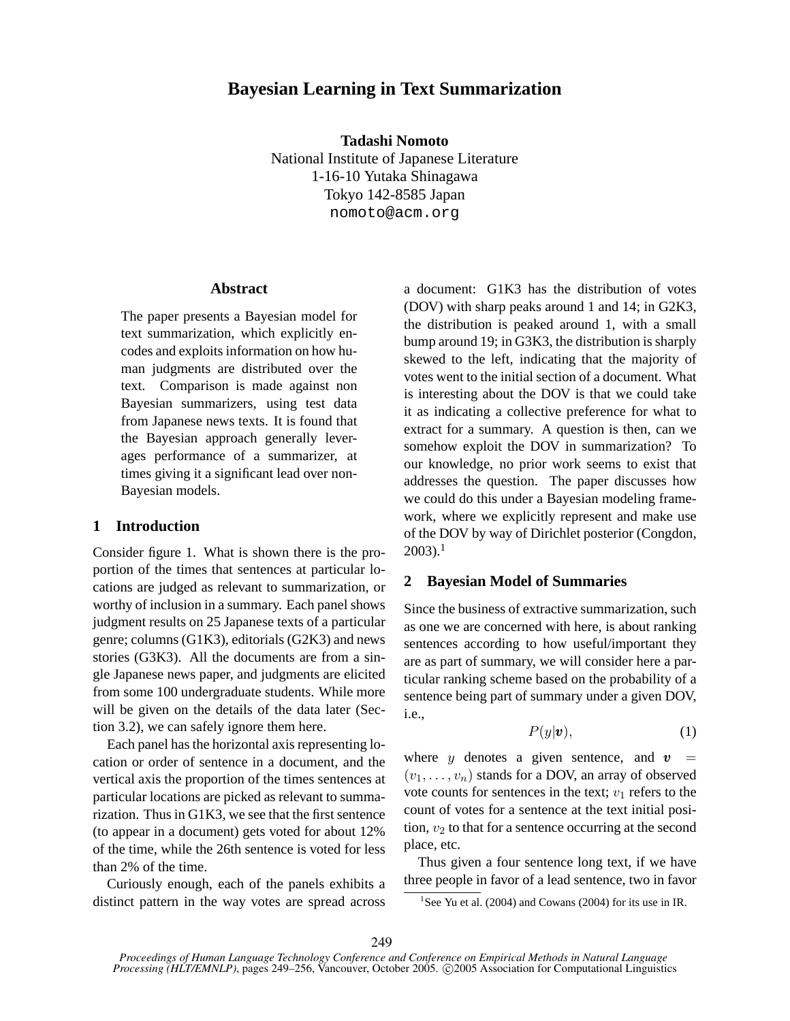# **Bayesian Learning in Text Summarization**

**Tadashi Nomoto** National Institute of Japanese Literature 1-16-10 Yutaka Shinagawa Tokyo 142-8585 Japan nomoto@acm.org

#### **Abstract**

The paper presents a Bayesian model for text summarization, which explicitly encodes and exploits information on how human judgments are distributed over the text. Comparison is made against non Bayesian summarizers, using test data from Japanese news texts. It is found that the Bayesian approach generally leverages performance of a summarizer, at times giving it a significant lead over non-Bayesian models.

### **1 Introduction**

Consider figure 1. What is shown there is the proportion of the times that sentences at particular locations are judged as relevant to summarization, or worthy of inclusion in a summary. Each panel shows judgment results on 25 Japanese texts of a particular genre; columns (G1K3), editorials (G2K3) and news stories (G3K3). All the documents are from a single Japanese news paper, and judgments are elicited from some 100 undergraduate students. While more will be given on the details of the data later (Section 3.2), we can safely ignore them here.

Each panel has the horizontal axis representing location or order of sentence in a document, and the vertical axis the proportion of the times sentences at particular locations are picked as relevant to summarization. Thus in G1K3, we see that the first sentence (to appear in a document) gets voted for about 12% of the time, while the 26th sentence is voted for less than 2% of the time.

Curiously enough, each of the panels exhibits a distinct pattern in the way votes are spread across a document: G1K3 has the distribution of votes (DOV) with sharp peaks around 1 and 14; in G2K3, the distribution is peaked around 1, with a small bump around 19; in G3K3, the distribution is sharply skewed to the left, indicating that the majority of votes went to the initial section of a document. What is interesting about the DOV is that we could take it as indicating a collective preference for what to extract for a summary. A question is then, can we somehow exploit the DOV in summarization? To our knowledge, no prior work seems to exist that addresses the question. The paper discusses how we could do this under a Bayesian modeling framework, where we explicitly represent and make use of the DOV by way of Dirichlet posterior (Congdon,  $2003$ ).<sup>1</sup>

# **2 Bayesian Model of Summaries**

Since the business of extractive summarization, such as one we are concerned with here, is about ranking sentences according to how useful/important they are as part of summary, we will consider here a particular ranking scheme based on the probability of a sentence being part of summary under a given DOV, i.e.,

$$
P(y|\boldsymbol{v}),\tag{1}
$$

where y denotes a given sentence, and  $v =$  $(v_1, \ldots, v_n)$  stands for a DOV, an array of observed vote counts for sentences in the text;  $v_1$  refers to the count of votes for a sentence at the text initial position,  $v_2$  to that for a sentence occurring at the second place, etc.

Thus given a four sentence long text, if we have three people in favor of a lead sentence, two in favor

<sup>&</sup>lt;sup>1</sup>See Yu et al. (2004) and Cowans (2004) for its use in IR.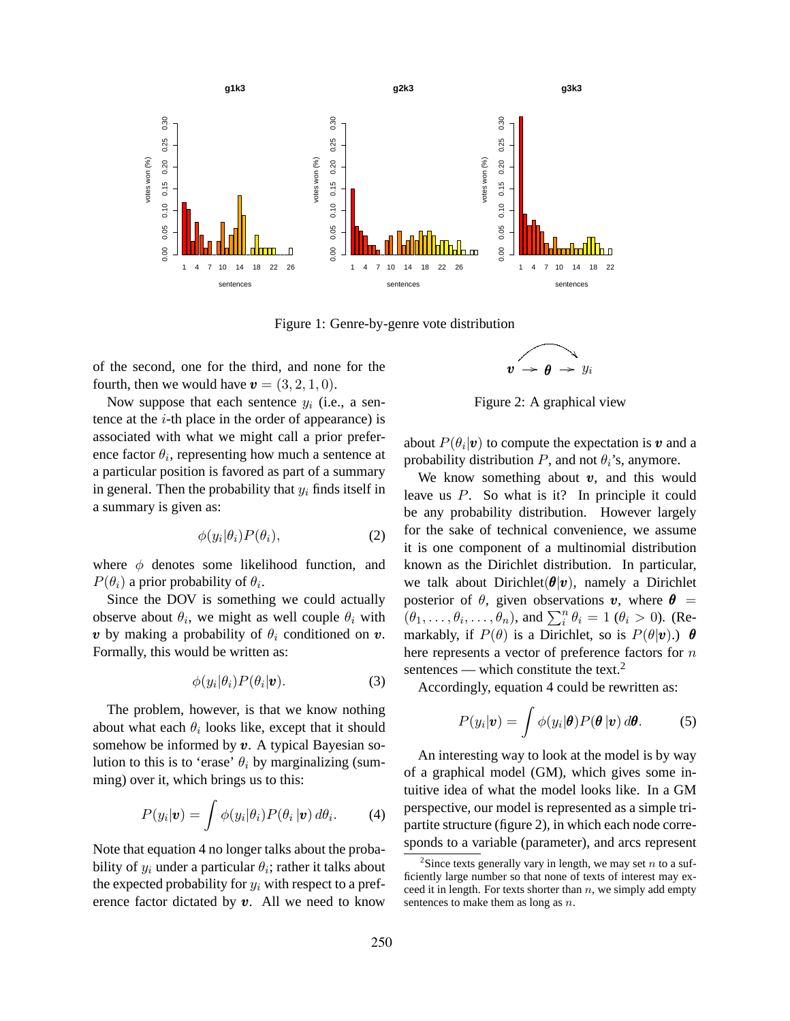

Figure 1: Genre-by-genre vote distribution

of the second, one for the third, and none for the fourth, then we would have  $\mathbf{v} = (3, 2, 1, 0)$ .

Now suppose that each sentence  $y_i$  (i.e., a sentence at the  $i$ -th place in the order of appearance) is associated with what we might call a prior preference factor  $\theta_i$ , representing how much a sentence at a particular position is favored as part of a summary in general. Then the probability that  $y_i$  finds itself in a summary is given as:

$$
\phi(y_i|\theta_i)P(\theta_i),\tag{2}
$$

where  $\phi$  denotes some likelihood function, and  $P(\theta_i)$  a prior probability of  $\theta_i$ .

Since the DOV is something we could actually observe about  $\theta_i$ , we might as well couple  $\theta_i$  with **v** by making a probability of  $\theta_i$  conditioned on **v**. Formally, this would be written as:

$$
\phi(y_i|\theta_i)P(\theta_i|\boldsymbol{v}).\tag{3}
$$

The problem, however, is that we know nothing about what each  $\theta_i$  looks like, except that it should somehow be informed by  $v$ . A typical Bayesian solution to this is to 'erase'  $\theta_i$  by marginalizing (summing) over it, which brings us to this:

$$
P(y_i|\boldsymbol{v}) = \int \phi(y_i|\theta_i) P(\theta_i|\boldsymbol{v}) d\theta_i.
$$
 (4)

Note that equation 4 no longer talks about the probability of  $y_i$  under a particular  $\theta_i$ ; rather it talks about the expected probability for  $y_i$  with respect to a preference factor dictated by  $v$ . All we need to know

$$
v \rightarrow \theta \rightarrow y_i
$$

Figure 2: A graphical view

about  $P(\theta_i | \boldsymbol{v})$  to compute the expectation is  $\boldsymbol{v}$  and a probability distribution  $P$ , and not  $\theta_i$ 's, anymore.

We know something about  $v$ , and this would leave us P. So what is it? In principle it could be any probability distribution. However largely for the sake of technical convenience, we assume it is one component of a multinomial distribution known as the Dirichlet distribution. In particular, we talk about Dirichlet( $\theta |v$ ), namely a Dirichlet posterior of  $\theta$ , given observations v, where  $\theta =$ posterior or  $v$ , given observations  $v$ , where  $v = (\theta_1, \dots, \theta_i, \dots, \theta_n)$ , and  $\sum_i^n \theta_i = 1$  ( $\theta_i > 0$ ). (Remarkably, if  $P(\theta)$  is a Dirichlet, so is  $P(\theta|\mathbf{v})$ .)  $\theta$ here represents a vector of preference factors for n sentences — which constitute the text. $2$ 

Accordingly, equation 4 could be rewritten as:

$$
P(y_i|\boldsymbol{v}) = \int \phi(y_i|\boldsymbol{\theta}) P(\boldsymbol{\theta}|\boldsymbol{v}) d\boldsymbol{\theta}.
$$
 (5)

An interesting way to look at the model is by way of a graphical model (GM), which gives some intuitive idea of what the model looks like. In a GM perspective, our model is represented as a simple tripartite structure (figure 2), in which each node corresponds to a variable (parameter), and arcs represent

<sup>&</sup>lt;sup>2</sup>Since texts generally vary in length, we may set  $n$  to a sufficiently large number so that none of texts of interest may exceed it in length. For texts shorter than  $n$ , we simply add empty sentences to make them as long as  $n$ .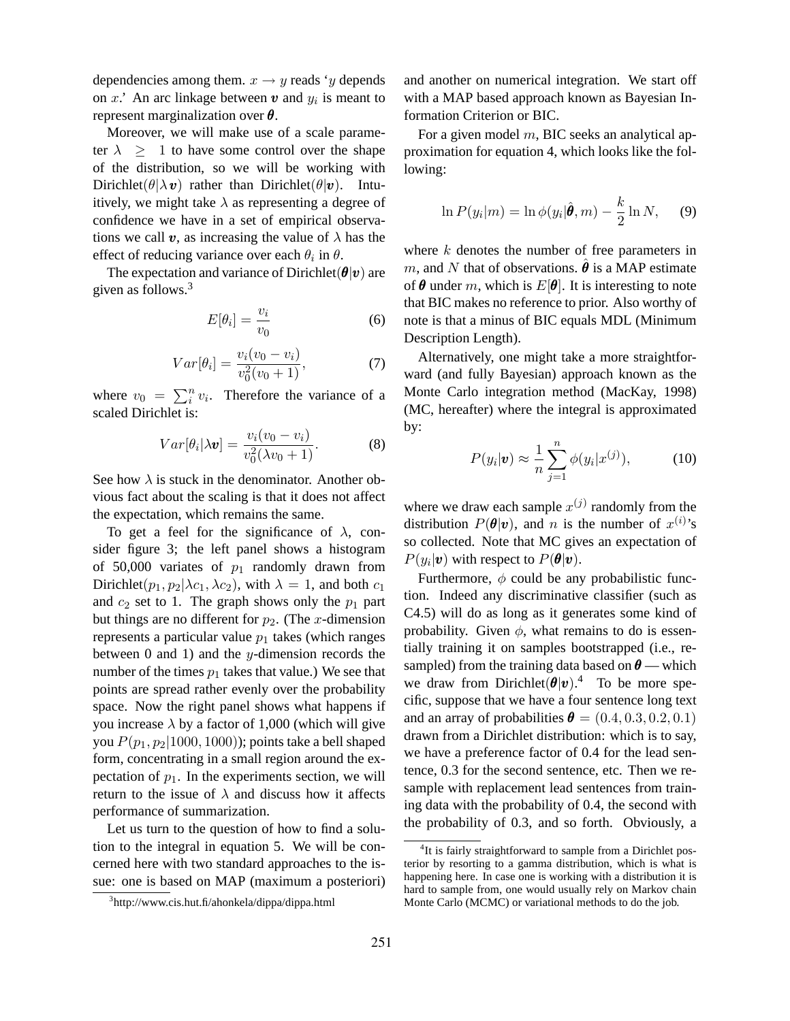dependencies among them.  $x \rightarrow y$  reads 'y depends on x.' An arc linkage between  $v$  and  $y_i$  is meant to represent marginalization over  $\theta$ .

Moreover, we will make use of a scale parameter  $\lambda > 1$  to have some control over the shape of the distribution, so we will be working with Dirichlet( $\theta | \lambda v$ ) rather than Dirichlet( $\theta | v$ ). Intuitively, we might take  $\lambda$  as representing a degree of confidence we have in a set of empirical observations we call v, as increasing the value of  $\lambda$  has the effect of reducing variance over each  $\theta_i$  in  $\theta$ .

The expectation and variance of Dirichlet( $\theta|v$ ) are given as follows.<sup>3</sup>

$$
E[\theta_i] = \frac{v_i}{v_0} \tag{6}
$$

$$
Var[\theta_i] = \frac{v_i(v_0 - v_i)}{v_0^2(v_0 + 1)},
$$
\n(7)

where  $v_0 = \sum_i^n$  $\int_{i}^{n} v_i$ . Therefore the variance of a scaled Dirichlet is:

$$
Var[\theta_i|\lambda \mathbf{v}] = \frac{v_i(v_0 - v_i)}{v_0^2(\lambda v_0 + 1)}.
$$
 (8)

See how  $\lambda$  is stuck in the denominator. Another obvious fact about the scaling is that it does not affect the expectation, which remains the same.

To get a feel for the significance of  $\lambda$ , consider figure 3; the left panel shows a histogram of 50,000 variates of  $p_1$  randomly drawn from Dirichlet( $p_1, p_2 | \lambda c_1, \lambda c_2$ ), with  $\lambda = 1$ , and both  $c_1$ and  $c_2$  set to 1. The graph shows only the  $p_1$  part but things are no different for  $p_2$ . (The x-dimension represents a particular value  $p_1$  takes (which ranges between  $0$  and  $1$ ) and the y-dimension records the number of the times  $p_1$  takes that value.) We see that points are spread rather evenly over the probability space. Now the right panel shows what happens if you increase  $\lambda$  by a factor of 1,000 (which will give you  $P(p_1, p_2|1000, 1000)$ ; points take a bell shaped form, concentrating in a small region around the expectation of  $p_1$ . In the experiments section, we will return to the issue of  $\lambda$  and discuss how it affects performance of summarization.

Let us turn to the question of how to find a solution to the integral in equation 5. We will be concerned here with two standard approaches to the issue: one is based on MAP (maximum a posteriori) and another on numerical integration. We start off with a MAP based approach known as Bayesian Information Criterion or BIC.

For a given model  $m$ , BIC seeks an analytical approximation for equation 4, which looks like the following:

$$
\ln P(y_i|m) = \ln \phi(y_i|\hat{\boldsymbol{\theta}}, m) - \frac{k}{2} \ln N, \quad (9)
$$

where  $k$  denotes the number of free parameters in m, and N that of observations.  $\theta$  is a MAP estimate of  $\theta$  under m, which is  $E[\theta]$ . It is interesting to note that BIC makes no reference to prior. Also worthy of note is that a minus of BIC equals MDL (Minimum Description Length).

Alternatively, one might take a more straightforward (and fully Bayesian) approach known as the Monte Carlo integration method (MacKay, 1998) (MC, hereafter) where the integral is approximated by:

$$
P(y_i|\boldsymbol{v}) \approx \frac{1}{n} \sum_{j=1}^{n} \phi(y_i|x^{(j)}), \quad (10)
$$

where we draw each sample  $x^{(j)}$  randomly from the distribution  $P(\theta|\mathbf{v})$ , and n is the number of  $x^{(i)}$ 's so collected. Note that MC gives an expectation of  $P(y_i|\boldsymbol{v})$  with respect to  $P(\boldsymbol{\theta}|\boldsymbol{v})$ .

Furthermore,  $\phi$  could be any probabilistic function. Indeed any discriminative classifier (such as C4.5) will do as long as it generates some kind of probability. Given  $\phi$ , what remains to do is essentially training it on samples bootstrapped (i.e., resampled) from the training data based on  $\theta$  — which we draw from Dirichlet $(\theta|v)^4$  To be more specific, suppose that we have a four sentence long text and an array of probabilities  $\boldsymbol{\theta} = (0.4, 0.3, 0.2, 0.1)$ drawn from a Dirichlet distribution: which is to say, we have a preference factor of 0.4 for the lead sentence, 0.3 for the second sentence, etc. Then we resample with replacement lead sentences from training data with the probability of 0.4, the second with the probability of 0.3, and so forth. Obviously, a

<sup>3</sup> http://www.cis.hut.fi/ahonkela/dippa/dippa.html

<sup>&</sup>lt;sup>4</sup>It is fairly straightforward to sample from a Dirichlet posterior by resorting to a gamma distribution, which is what is happening here. In case one is working with a distribution it is hard to sample from, one would usually rely on Markov chain Monte Carlo (MCMC) or variational methods to do the job.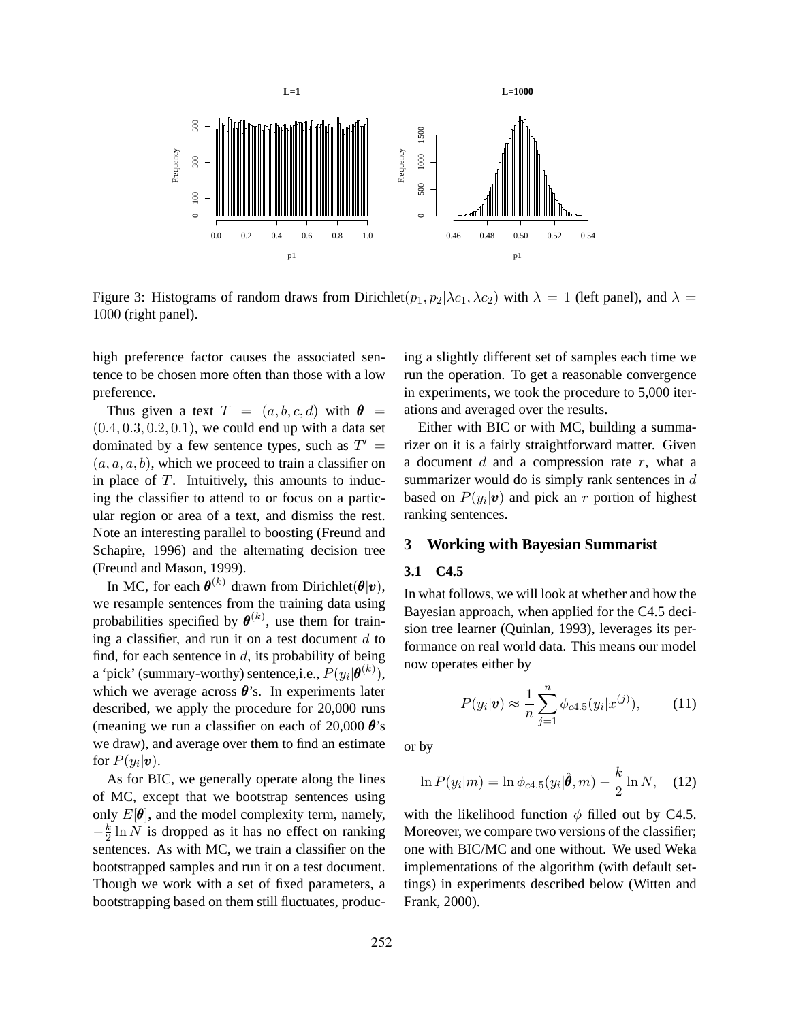

Figure 3: Histograms of random draws from Dirichlet $(p_1, p_2 | \lambda c_1, \lambda c_2)$  with  $\lambda = 1$  (left panel), and  $\lambda =$ 1000 (right panel).

high preference factor causes the associated sentence to be chosen more often than those with a low preference.

Thus given a text  $T = (a, b, c, d)$  with  $\theta =$  $(0.4, 0.3, 0.2, 0.1)$ , we could end up with a data set dominated by a few sentence types, such as  $T' =$  $(a, a, a, b)$ , which we proceed to train a classifier on in place of  $T$ . Intuitively, this amounts to inducing the classifier to attend to or focus on a particular region or area of a text, and dismiss the rest. Note an interesting parallel to boosting (Freund and Schapire, 1996) and the alternating decision tree (Freund and Mason, 1999).

In MC, for each  $\boldsymbol{\theta}^{(k)}$  drawn from Dirichlet $(\boldsymbol{\theta}|\boldsymbol{v})$ , we resample sentences from the training data using probabilities specified by  $\boldsymbol{\theta}^{(k)}$ , use them for training a classifier, and run it on a test document  $d$  to find, for each sentence in  $d$ , its probability of being a 'pick' (summary-worthy) sentence,i.e.,  $P(y_i|\boldsymbol{\theta}^{(k)}),$ which we average across  $\theta$ 's. In experiments later described, we apply the procedure for 20,000 runs (meaning we run a classifier on each of 20,000  $\theta$ 's we draw), and average over them to find an estimate for  $P(y_i|\boldsymbol{v})$ .

As for BIC, we generally operate along the lines of MC, except that we bootstrap sentences using only  $E[\theta]$ , and the model complexity term, namely,  $-\frac{k}{2}$  $\frac{k}{2} \ln N$  is dropped as it has no effect on ranking sentences. As with MC, we train a classifier on the bootstrapped samples and run it on a test document. Though we work with a set of fixed parameters, a bootstrapping based on them still fluctuates, producing a slightly different set of samples each time we run the operation. To get a reasonable convergence in experiments, we took the procedure to 5,000 iterations and averaged over the results.

Either with BIC or with MC, building a summarizer on it is a fairly straightforward matter. Given a document  $d$  and a compression rate  $r$ , what a summarizer would do is simply rank sentences in  $d$ based on  $P(y_i|\boldsymbol{v})$  and pick an r portion of highest ranking sentences.

#### **3 Working with Bayesian Summarist**

#### **3.1 C4.5**

In what follows, we will look at whether and how the Bayesian approach, when applied for the C4.5 decision tree learner (Quinlan, 1993), leverages its performance on real world data. This means our model now operates either by

$$
P(y_i|\mathbf{v}) \approx \frac{1}{n} \sum_{j=1}^{n} \phi_{c4.5}(y_i|x^{(j)}), \quad (11)
$$

or by

$$
\ln P(y_i|m) = \ln \phi_{c4.5}(y_i|\hat{\theta}, m) - \frac{k}{2} \ln N, \quad (12)
$$

with the likelihood function  $\phi$  filled out by C4.5. Moreover, we compare two versions of the classifier; one with BIC/MC and one without. We used Weka implementations of the algorithm (with default settings) in experiments described below (Witten and Frank, 2000).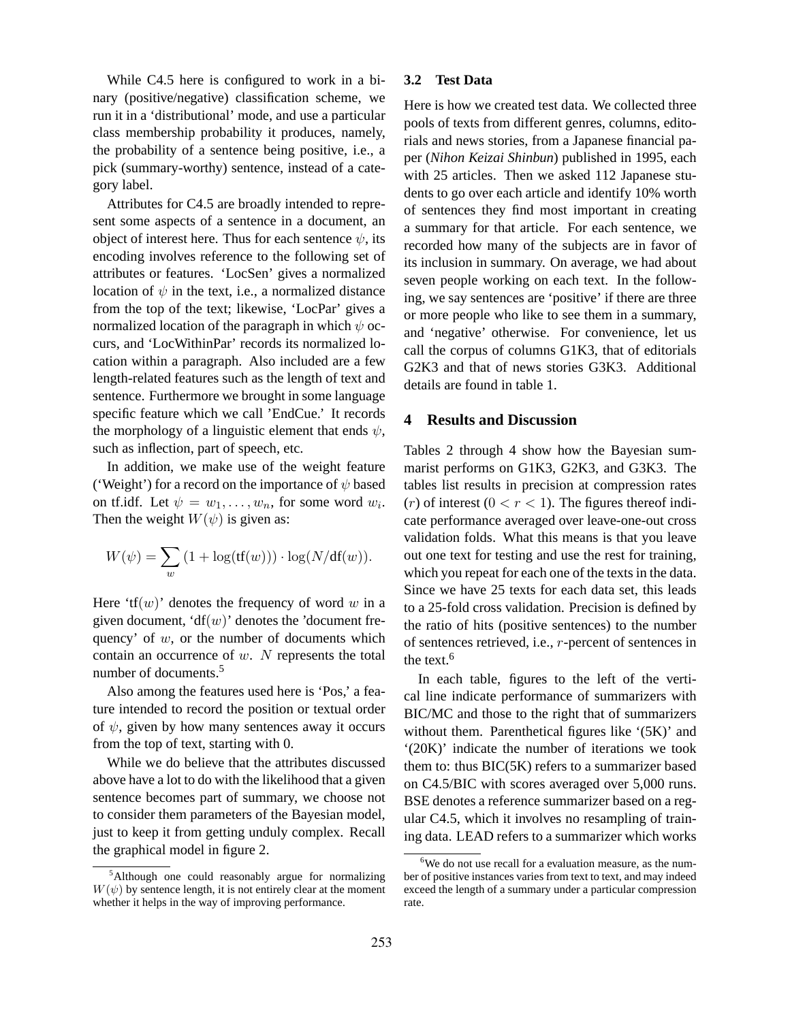While C4.5 here is configured to work in a binary (positive/negative) classification scheme, we run it in a 'distributional' mode, and use a particular class membership probability it produces, namely, the probability of a sentence being positive, i.e., a pick (summary-worthy) sentence, instead of a category label.

Attributes for C4.5 are broadly intended to represent some aspects of a sentence in a document, an object of interest here. Thus for each sentence  $\psi$ , its encoding involves reference to the following set of attributes or features. 'LocSen' gives a normalized location of  $\psi$  in the text, i.e., a normalized distance from the top of the text; likewise, 'LocPar' gives a normalized location of the paragraph in which  $\psi$  occurs, and 'LocWithinPar' records its normalized location within a paragraph. Also included are a few length-related features such as the length of text and sentence. Furthermore we brought in some language specific feature which we call 'EndCue.' It records the morphology of a linguistic element that ends  $\psi$ , such as inflection, part of speech, etc.

In addition, we make use of the weight feature ('Weight') for a record on the importance of  $\psi$  based on tf.idf. Let  $\psi = w_1, \dots, w_n$ , for some word  $w_i$ . Then the weight  $W(\psi)$  is given as:

$$
W(\psi) = \sum_{w} \left(1 + \log(\text{tf}(w))\right) \cdot \log(N/\text{df}(w)).
$$

Here 'tf $(w)$ ' denotes the frequency of word w in a given document, ' $df(w)$ ' denotes the 'document frequency' of  $w$ , or the number of documents which contain an occurrence of  $w$ . N represents the total number of documents.<sup>5</sup>

Also among the features used here is 'Pos,' a feature intended to record the position or textual order of  $\psi$ , given by how many sentences away it occurs from the top of text, starting with 0.

While we do believe that the attributes discussed above have a lot to do with the likelihood that a given sentence becomes part of summary, we choose not to consider them parameters of the Bayesian model, just to keep it from getting unduly complex. Recall the graphical model in figure 2.

#### **3.2 Test Data**

Here is how we created test data. We collected three pools of texts from different genres, columns, editorials and news stories, from a Japanese financial paper (*Nihon Keizai Shinbun*) published in 1995, each with 25 articles. Then we asked 112 Japanese students to go over each article and identify 10% worth of sentences they find most important in creating a summary for that article. For each sentence, we recorded how many of the subjects are in favor of its inclusion in summary. On average, we had about seven people working on each text. In the following, we say sentences are 'positive' if there are three or more people who like to see them in a summary, and 'negative' otherwise. For convenience, let us call the corpus of columns G1K3, that of editorials G2K3 and that of news stories G3K3. Additional details are found in table 1.

### **4 Results and Discussion**

Tables 2 through 4 show how the Bayesian summarist performs on G1K3, G2K3, and G3K3. The tables list results in precision at compression rates  $(r)$  of interest  $(0 < r < 1)$ . The figures thereof indicate performance averaged over leave-one-out cross validation folds. What this means is that you leave out one text for testing and use the rest for training, which you repeat for each one of the texts in the data. Since we have 25 texts for each data set, this leads to a 25-fold cross validation. Precision is defined by the ratio of hits (positive sentences) to the number of sentences retrieved, i.e., r-percent of sentences in the text.<sup>6</sup>

In each table, figures to the left of the vertical line indicate performance of summarizers with BIC/MC and those to the right that of summarizers without them. Parenthetical figures like '(5K)' and '(20K)' indicate the number of iterations we took them to: thus BIC(5K) refers to a summarizer based on C4.5/BIC with scores averaged over 5,000 runs. BSE denotes a reference summarizer based on a regular C4.5, which it involves no resampling of training data. LEAD refers to a summarizer which works

<sup>&</sup>lt;sup>5</sup>Although one could reasonably argue for normalizing  $W(\psi)$  by sentence length, it is not entirely clear at the moment whether it helps in the way of improving performance.

 $6$ We do not use recall for a evaluation measure, as the number of positive instances varies from text to text, and may indeed exceed the length of a summary under a particular compression rate.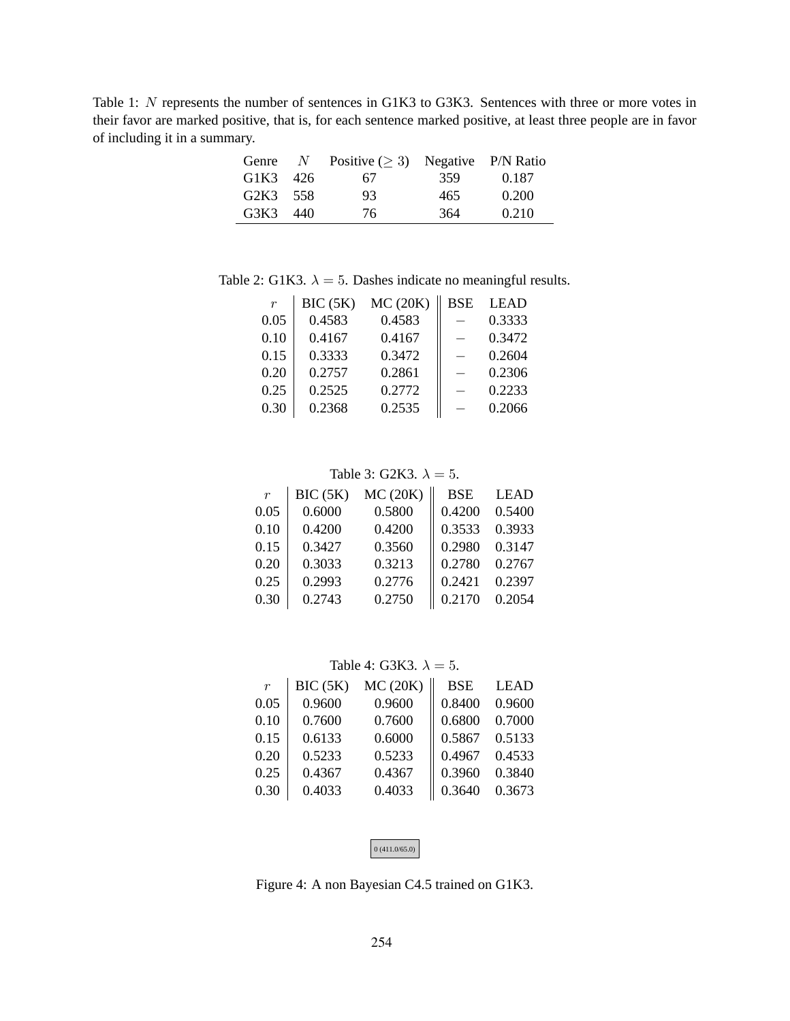Table 1: N represents the number of sentences in G1K3 to G3K3. Sentences with three or more votes in their favor are marked positive, that is, for each sentence marked positive, at least three people are in favor of including it in a summary.

| Genre    | $N_{-}$ | Positive $(\geq 3)$ Negative P/N Ratio |     |       |
|----------|---------|----------------------------------------|-----|-------|
| G1K3 426 |         | 67.                                    | 359 | 0.187 |
| G2K3 558 |         | 93                                     | 465 | 0.200 |
| G3K3 440 |         | 76.                                    | 364 | 0.210 |

Table 2: G1K3.  $\lambda = 5$ . Dashes indicate no meaningful results.

| $\boldsymbol{r}$ | BIC(5K) | MC(20K) | <b>BSE</b> | <b>LEAD</b> |
|------------------|---------|---------|------------|-------------|
| 0.05             | 0.4583  | 0.4583  |            | 0.3333      |
| 0.10             | 0.4167  | 0.4167  |            | 0.3472      |
| 0.15             | 0.3333  | 0.3472  |            | 0.2604      |
| 0.20             | 0.2757  | 0.2861  |            | 0.2306      |
| 0.25             | 0.2525  | 0.2772  |            | 0.2233      |
| 0.30             | 0.2368  | 0.2535  |            | 0.2066      |

### Table 3: G2K3.  $\lambda = 5$ .

|        | MC(20K) | <b>BSE</b> | <b>LEAD</b> |
|--------|---------|------------|-------------|
| 0.6000 | 0.5800  | 0.4200     | 0.5400      |
| 0.4200 | 0.4200  | 0.3533     | 0.3933      |
| 0.3427 | 0.3560  | 0.2980     | 0.3147      |
| 0.3033 | 0.3213  | 0.2780     | 0.2767      |
| 0.2993 | 0.2776  | 0.2421     | 0.2397      |
| 0.2743 | 0.2750  | 0.2170     | 0.2054      |
|        | BIC(5K) |            |             |

## Table 4: G3K3.  $\lambda = 5$ .

| $\boldsymbol{r}$ | BIC(5K) | MC(20K) | <b>BSE</b> | <b>LEAD</b> |
|------------------|---------|---------|------------|-------------|
| 0.05             | 0.9600  | 0.9600  | 0.8400     | 0.9600      |
| 0.10             | 0.7600  | 0.7600  | 0.6800     | 0.7000      |
| 0.15             | 0.6133  | 0.6000  | 0.5867     | 0.5133      |
| 0.20             | 0.5233  | 0.5233  | 0.4967     | 0.4533      |
| 0.25             | 0.4367  | 0.4367  | 0.3960     | 0.3840      |
| 0.30             | 0.4033  | 0.4033  | 0.3640     | 0.3673      |

| $\vert 0$ (411.0/65.0) |
|------------------------|
|------------------------|

Figure 4: A non Bayesian C4.5 trained on G1K3.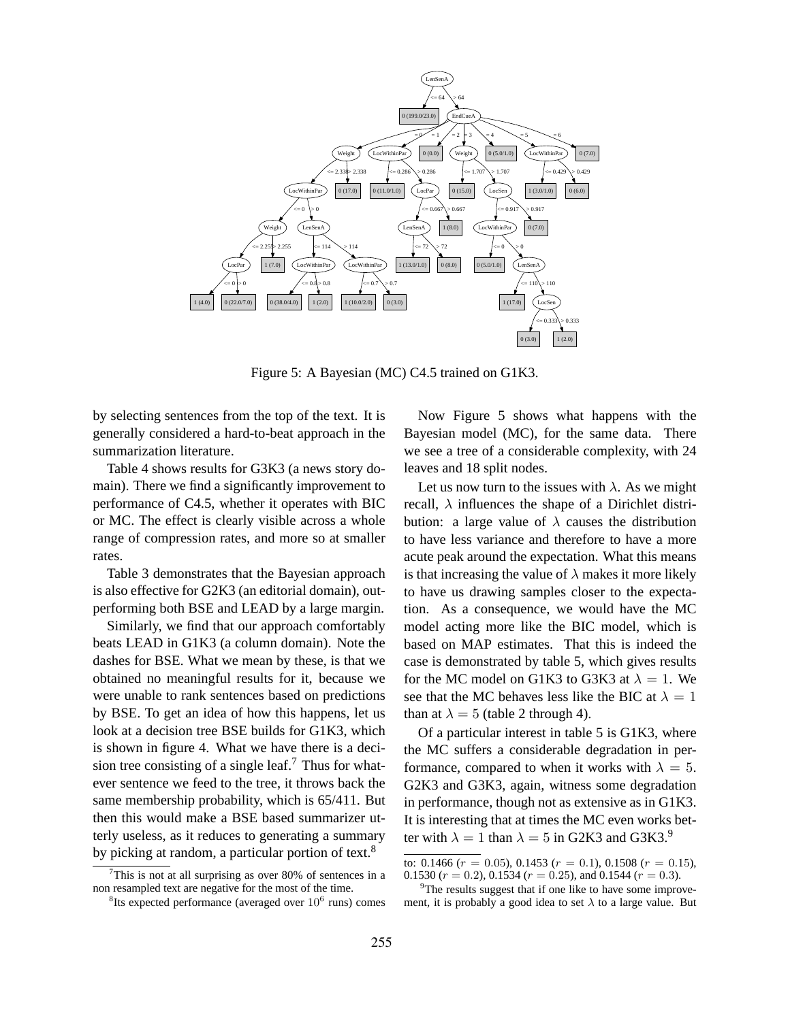

Figure 5: A Bayesian (MC) C4.5 trained on G1K3.

by selecting sentences from the top of the text. It is generally considered a hard-to-beat approach in the summarization literature.

Table 4 shows results for G3K3 (a news story domain). There we find a significantly improvement to performance of C4.5, whether it operates with BIC or MC. The effect is clearly visible across a whole range of compression rates, and more so at smaller rates.

Table 3 demonstrates that the Bayesian approach is also effective for G2K3 (an editorial domain), outperforming both BSE and LEAD by a large margin.

Similarly, we find that our approach comfortably beats LEAD in G1K3 (a column domain). Note the dashes for BSE. What we mean by these, is that we obtained no meaningful results for it, because we were unable to rank sentences based on predictions by BSE. To get an idea of how this happens, let us look at a decision tree BSE builds for G1K3, which is shown in figure 4. What we have there is a decision tree consisting of a single leaf.<sup>7</sup> Thus for whatever sentence we feed to the tree, it throws back the same membership probability, which is 65/411. But then this would make a BSE based summarizer utterly useless, as it reduces to generating a summary by picking at random, a particular portion of text.<sup>8</sup>

Now Figure 5 shows what happens with the Bayesian model (MC), for the same data. There we see a tree of a considerable complexity, with 24 leaves and 18 split nodes.

Let us now turn to the issues with  $\lambda$ . As we might recall,  $\lambda$  influences the shape of a Dirichlet distribution: a large value of  $\lambda$  causes the distribution to have less variance and therefore to have a more acute peak around the expectation. What this means is that increasing the value of  $\lambda$  makes it more likely to have us drawing samples closer to the expectation. As a consequence, we would have the MC model acting more like the BIC model, which is based on MAP estimates. That this is indeed the case is demonstrated by table 5, which gives results for the MC model on G1K3 to G3K3 at  $\lambda = 1$ . We see that the MC behaves less like the BIC at  $\lambda = 1$ than at  $\lambda = 5$  (table 2 through 4).

Of a particular interest in table 5 is G1K3, where the MC suffers a considerable degradation in performance, compared to when it works with  $\lambda = 5$ . G2K3 and G3K3, again, witness some degradation in performance, though not as extensive as in G1K3. It is interesting that at times the MC even works better with  $\lambda = 1$  than  $\lambda = 5$  in G2K3 and G3K3.<sup>9</sup>

This is not at all surprising as over 80% of sentences in a non resampled text are negative for the most of the time.

<sup>&</sup>lt;sup>8</sup>Its expected performance (averaged over  $10^6$  runs) comes

to: 0.1466 ( $r = 0.05$ ), 0.1453 ( $r = 0.1$ ), 0.1508 ( $r = 0.15$ ), 0.1530 ( $r = 0.2$ ), 0.1534 ( $r = 0.25$ ), and 0.1544 ( $r = 0.3$ ).

<sup>&</sup>lt;sup>9</sup>The results suggest that if one like to have some improvement, it is probably a good idea to set  $\lambda$  to a large value. But